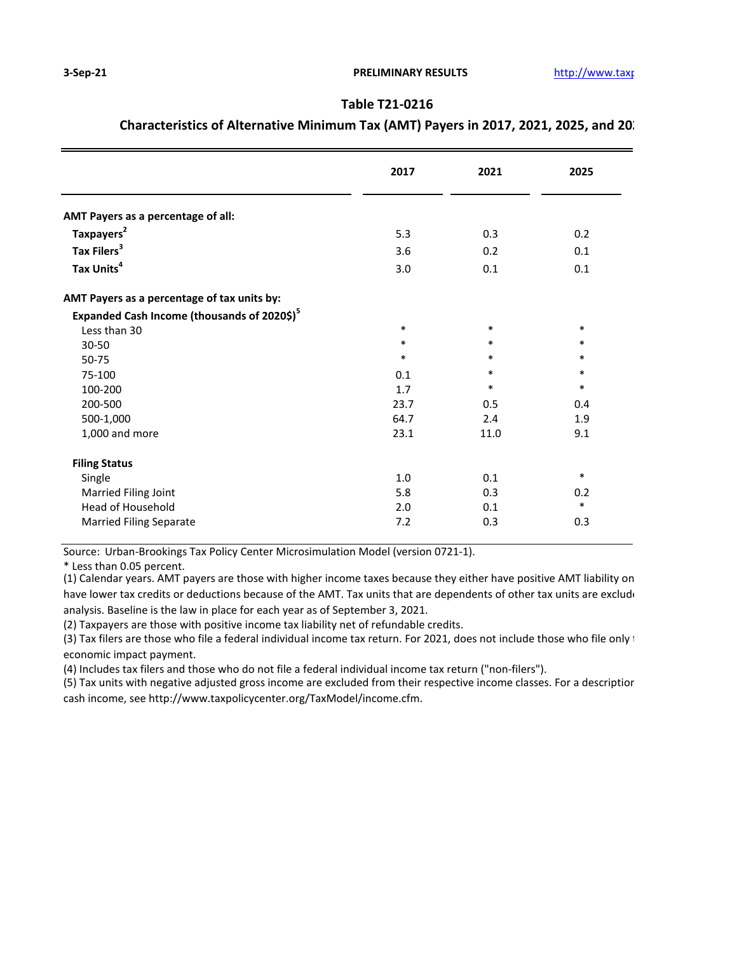## **Table T21-0216**

## **Characteristics of Alternative Minimum Tax (AMT) Payers in 2017, 2021, 2025, and 20.**

|                                                         | 2017   | 2021   | 2025   |
|---------------------------------------------------------|--------|--------|--------|
| AMT Payers as a percentage of all:                      |        |        |        |
| Taxpayers <sup>2</sup>                                  | 5.3    | 0.3    | 0.2    |
| Tax Filers <sup>3</sup>                                 | 3.6    | 0.2    | 0.1    |
| Tax Units <sup>4</sup>                                  | 3.0    | 0.1    | 0.1    |
| AMT Payers as a percentage of tax units by:             |        |        |        |
| Expanded Cash Income (thousands of 2020\$) <sup>5</sup> |        |        |        |
| Less than 30                                            | $\ast$ | $\ast$ | $\ast$ |
| $30 - 50$                                               | $\ast$ | $\ast$ | $\ast$ |
| 50-75                                                   | $\ast$ | $\ast$ | $\ast$ |
| 75-100                                                  | 0.1    | $\ast$ | $\ast$ |
| 100-200                                                 | 1.7    | $\ast$ | $\ast$ |
| 200-500                                                 | 23.7   | 0.5    | 0.4    |
| 500-1,000                                               | 64.7   | 2.4    | 1.9    |
| 1,000 and more                                          | 23.1   | 11.0   | 9.1    |
| <b>Filing Status</b>                                    |        |        |        |
| Single                                                  | 1.0    | 0.1    | $\ast$ |
| Married Filing Joint                                    | 5.8    | 0.3    | 0.2    |
| Head of Household                                       | 2.0    | 0.1    | $\ast$ |
| <b>Married Filing Separate</b>                          | 7.2    | 0.3    | 0.3    |

Source: Urban-Brookings Tax Policy Center Microsimulation Model (version 0721-1).

\* Less than 0.05 percent.

(1) Calendar years. AMT payers are those with higher income taxes because they either have positive AMT liability on have lower tax credits or deductions because of the AMT. Tax units that are dependents of other tax units are exclude analysis. Baseline is the law in place for each year as of September 3, 2021.

(2) Taxpayers are those with positive income tax liability net of refundable credits.

(3) Tax filers are those who file a federal individual income tax return. For 2021, does not include those who file only economic impact payment.

(4) Includes tax filers and those who do not file a federal individual income tax return ("non-filers").

(5) Tax units with negative adjusted gross income are excluded from their respective income classes. For a descriptior cash income, see http://www.taxpolicycenter.org/TaxModel/income.cfm.